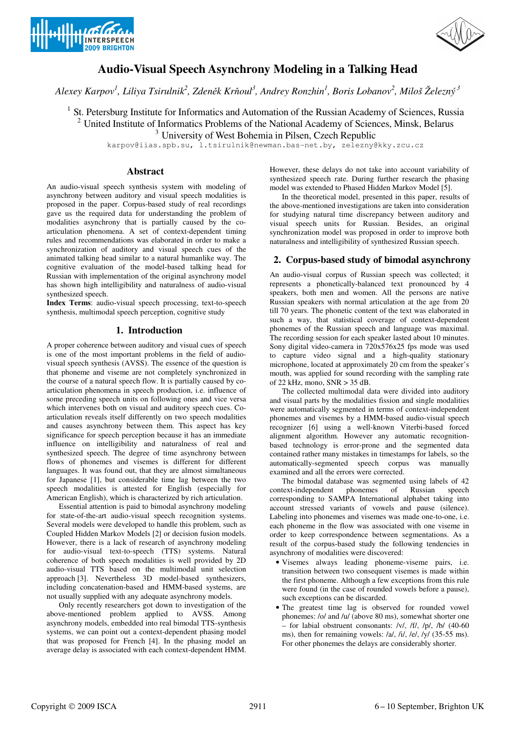



# **Audio-Visual Speech Asynchrony Modeling in a Talking Head**

*Alexey Karpov<sup>1</sup> , Liliya Tsirulnik<sup>2</sup> , Zden*ě*k Kr*ň*oul<sup>3</sup> , Andrey Ronzhin<sup>1</sup> , Boris Lobanov<sup>2</sup> , Miloš Železný<sup>3</sup>*

<sup>1</sup> St. Petersburg Institute for Informatics and Automation of the Russian Academy of Sciences, Russia <sup>2</sup> United Institute of Informatics Problems of the National Academy of Sciences, Minsk, Belarus

<sup>3</sup> University of West Bohemia in Pilsen, Czech Republic

karpov@iias.spb.su, l.tsirulnik@newman.bas-net.by, zelezny@kky.zcu.cz

## **Abstract**

An audio-visual speech synthesis system with modeling of asynchrony between auditory and visual speech modalities is proposed in the paper. Corpus-based study of real recordings gave us the required data for understanding the problem of modalities asynchrony that is partially caused by the coarticulation phenomena. A set of context-dependent timing rules and recommendations was elaborated in order to make a synchronization of auditory and visual speech cues of the animated talking head similar to a natural humanlike way. The cognitive evaluation of the model-based talking head for Russian with implementation of the original asynchrony model has shown high intelligibility and naturalness of audio-visual synthesized speech.

**Index Terms**: audio-visual speech processing, text-to-speech synthesis, multimodal speech perception, cognitive study

## **1. Introduction**

A proper coherence between auditory and visual cues of speech is one of the most important problems in the field of audiovisual speech synthesis (AVSS). The essence of the question is that phoneme and viseme are not completely synchronized in the course of a natural speech flow. It is partially caused by coarticulation phenomena in speech production, i.e. influence of some preceding speech units on following ones and vice versa which intervenes both on visual and auditory speech cues. Coarticulation reveals itself differently on two speech modalities and causes asynchrony between them. This aspect has key significance for speech perception because it has an immediate influence on intelligibility and naturalness of real and synthesized speech. The degree of time asynchrony between flows of phonemes and visemes is different for different languages. It was found out, that they are almost simultaneous for Japanese [1], but considerable time lag between the two speech modalities is attested for English (especially for American English), which is characterized by rich articulation.

Essential attention is paid to bimodal asynchrony modeling for state-of-the-art audio-visual speech recognition systems. Several models were developed to handle this problem, such as Coupled Hidden Markov Models [2] or decision fusion models. However, there is a lack of research of asynchrony modeling for audio-visual text-to-speech (TTS) systems. Natural coherence of both speech modalities is well provided by 2D audio-visual TTS based on the multimodal unit selection approach [3]. Nevertheless 3D model-based synthesizers, including concatenation-based and HMM-based systems, are not usually supplied with any adequate asynchrony models.

Only recently researchers got down to investigation of the above-mentioned problem applied to AVSS. Among asynchrony models, embedded into real bimodal TTS-synthesis systems, we can point out a context-dependent phasing model that was proposed for French [4]. In the phasing model an average delay is associated with each context-dependent HMM. However, these delays do not take into account variability of synthesized speech rate. During further research the phasing model was extended to Phased Hidden Markov Model [5].

In the theoretical model, presented in this paper, results of the above-mentioned investigations are taken into consideration for studying natural time discrepancy between auditory and visual speech units for Russian. Besides, an original synchronization model was proposed in order to improve both naturalness and intelligibility of synthesized Russian speech.

## **2. Corpus-based study of bimodal asynchrony**

An audio-visual corpus of Russian speech was collected; it represents a phonetically-balanced text pronounced by 4 speakers, both men and women. All the persons are native Russian speakers with normal articulation at the age from 20 till 70 years. The phonetic content of the text was elaborated in such a way, that statistical coverage of context-dependent phonemes of the Russian speech and language was maximal. The recording session for each speaker lasted about 10 minutes. Sony digital video-camera in 720x576x25 fps mode was used to capture video signal and a high-quality stationary microphone, located at approximately 20 cm from the speaker's mouth, was applied for sound recording with the sampling rate of 22 kHz, mono, SNR > 35 dB.

The collected multimodal data were divided into auditory and visual parts by the modalities fission and single modalities were automatically segmented in terms of context-independent phonemes and visemes by a HMM-based audio-visual speech recognizer [6] using a well-known Viterbi-based forced alignment algorithm. However any automatic recognitionbased technology is error-prone and the segmented data contained rather many mistakes in timestamps for labels, so the automatically-segmented speech corpus was manually examined and all the errors were corrected.

The bimodal database was segmented using labels of 42 context-independent phonemes of Russian speech corresponding to SAMPA International alphabet taking into account stressed variants of vowels and pause (silence). Labeling into phonemes and visemes was made one-to-one, i.e. each phoneme in the flow was associated with one viseme in order to keep correspondence between segmentations. As a result of the corpus-based study the following tendencies in asynchrony of modalities were discovered:

- Visemes always leading phoneme-viseme pairs, i.e. transition between two consequent visemes is made within the first phoneme. Although a few exceptions from this rule were found (in the case of rounded vowels before a pause), such exceptions can be discarded.
- The greatest time lag is observed for rounded vowel phonemes: /o/ and /u/ (above 80 ms), somewhat shorter one – for labial obstruent consonants: /v/, /f/, /p/, /b/ (40-60 ms), then for remaining vowels:  $\frac{a}{i}$ ,  $\frac{b}{i}$ ,  $\frac{c}{i}$ ,  $\frac{c}{i}$  (35-55 ms). For other phonemes the delays are considerably shorter.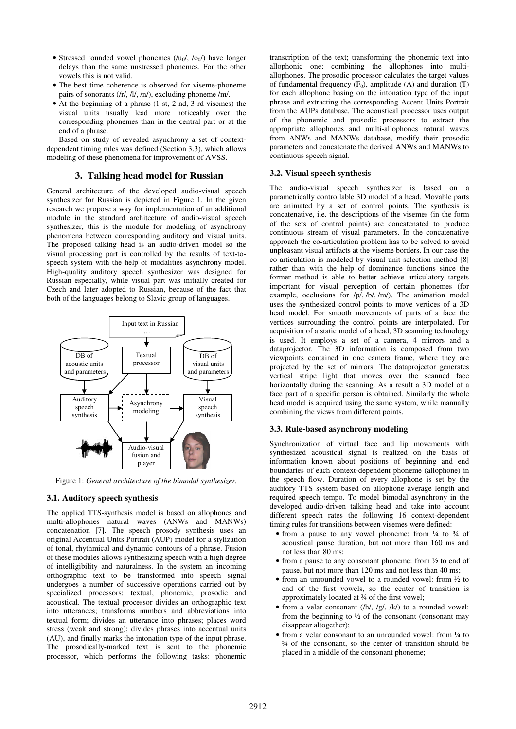- Stressed rounded vowel phonemes  $(lu_0/$ ,  $l_0/$ ) have longer delays than the same unstressed phonemes. For the other vowels this is not valid.
- The best time coherence is observed for viseme-phoneme pairs of sonorants (/r/, /l/, /n/), excluding phoneme /m/.
- At the beginning of a phrase (1-st, 2-nd, 3-rd visemes) the visual units usually lead more noticeably over the corresponding phonemes than in the central part or at the end of a phrase.

Based on study of revealed asynchrony a set of contextdependent timing rules was defined (Section 3.3), which allows modeling of these phenomena for improvement of AVSS.

### **3. Talking head model for Russian**

General architecture of the developed audio-visual speech synthesizer for Russian is depicted in Figure 1. In the given research we propose a way for implementation of an additional module in the standard architecture of audio-visual speech synthesizer, this is the module for modeling of asynchrony phenomena between corresponding auditory and visual units. The proposed talking head is an audio-driven model so the visual processing part is controlled by the results of text-tospeech system with the help of modalities asynchrony model. High-quality auditory speech synthesizer was designed for Russian especially, while visual part was initially created for Czech and later adopted to Russian, because of the fact that both of the languages belong to Slavic group of languages.



Figure 1: *General architecture of the bimodal synthesizer.*

#### **3.1. Auditory speech synthesis**

The applied TTS-synthesis model is based on allophones and multi-allophones natural waves (ANWs and MANWs) concatenation [7]. The speech prosody synthesis uses an original Accentual Units Portrait (AUP) model for a stylization of tonal, rhythmical and dynamic contours of a phrase. Fusion of these modules allows synthesizing speech with a high degree of intelligibility and naturalness. In the system an incoming orthographic text to be transformed into speech signal undergoes a number of successive operations carried out by specialized processors: textual, phonemic, prosodic and acoustical. The textual processor divides an orthographic text into utterances; transforms numbers and abbreviations into textual form; divides an utterance into phrases; places word stress (weak and strong); divides phrases into accentual units (AU), and finally marks the intonation type of the input phrase. The prosodically-marked text is sent to the phonemic processor, which performs the following tasks: phonemic transcription of the text; transforming the phonemic text into allophonic one; combining the allophones into multiallophones. The prosodic processor calculates the target values of fundamental frequency  $(F_0)$ , amplitude  $(A)$  and duration  $(T)$ for each allophone basing on the intonation type of the input phrase and extracting the corresponding Accent Units Portrait from the AUPs database. The acoustical processor uses output of the phonemic and prosodic processors to extract the appropriate allophones and multi-allophones natural waves from ANWs and MANWs database, modify their prosodic parameters and concatenate the derived ANWs and MANWs to continuous speech signal.

#### **3.2. Visual speech synthesis**

The audio-visual speech synthesizer is based on a parametrically controllable 3D model of a head. Movable parts are animated by a set of control points. The synthesis is concatenative, i.e. the descriptions of the visemes (in the form of the sets of control points) are concatenated to produce continuous stream of visual parameters. In the concatenative approach the co-articulation problem has to be solved to avoid unpleasant visual artifacts at the viseme borders. In our case the co-articulation is modeled by visual unit selection method [8] rather than with the help of dominance functions since the former method is able to better achieve articulatory targets important for visual perception of certain phonemes (for example, occlusions for /p/, /b/, /m/). The animation model uses the synthesized control points to move vertices of a 3D head model. For smooth movements of parts of a face the vertices surrounding the control points are interpolated. For acquisition of a static model of a head, 3D scanning technology is used. It employs a set of a camera, 4 mirrors and a dataprojector. The 3D information is composed from two viewpoints contained in one camera frame, where they are projected by the set of mirrors. The dataprojector generates vertical stripe light that moves over the scanned face horizontally during the scanning. As a result a 3D model of a face part of a specific person is obtained. Similarly the whole head model is acquired using the same system, while manually combining the views from different points.

#### **3.3. Rule-based asynchrony modeling**

Synchronization of virtual face and lip movements with synthesized acoustical signal is realized on the basis of information known about positions of beginning and end boundaries of each context-dependent phoneme (allophone) in the speech flow. Duration of every allophone is set by the auditory TTS system based on allophone average length and required speech tempo. To model bimodal asynchrony in the developed audio-driven talking head and take into account different speech rates the following 16 context-dependent timing rules for transitions between visemes were defined:

- from a pause to any vowel phoneme: from 1/4 to 3/4 of acoustical pause duration, but not more than 160 ms and not less than 80 ms;
- from a pause to any consonant phoneme: from  $\frac{1}{2}$  to end of pause, but not more than 120 ms and not less than 40 ms;
- from an unrounded vowel to a rounded vowel: from  $\frac{1}{2}$  to end of the first vowels, so the center of transition is approximately located at ¾ of the first vowel;
- from a velar consonant  $(h/ h, f/g, f/ k)$  to a rounded vowel: from the beginning to  $\frac{1}{2}$  of the consonant (consonant may disappear altogether);
- from a velar consonant to an unrounded vowel: from  $\frac{1}{4}$  to ¾ of the consonant, so the center of transition should be placed in a middle of the consonant phoneme;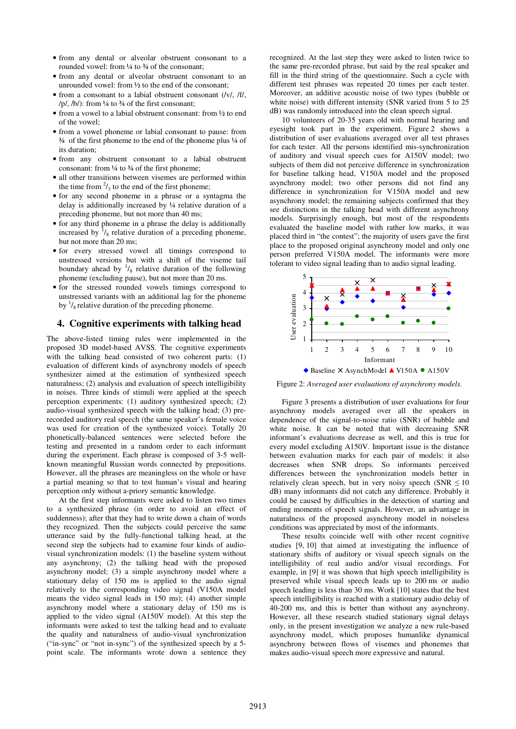- from any dental or alveolar obstruent consonant to a rounded vowel: from 1/4 to 3/4 of the consonant;
- from any dental or alveolar obstruent consonant to an unrounded vowel: from ½ to the end of the consonant;
- from a consonant to a labial obstruent consonant (/v/, /f/, /p/, /b/): from  $\frac{1}{4}$  to  $\frac{3}{4}$  of the first consonant;
- from a vowel to a labial obstruent consonant: from  $\frac{1}{2}$  to end of the vowel;
- from a vowel phoneme or labial consonant to pause: from ¾ of the first phoneme to the end of the phoneme plus ¼ of its duration;
- from any obstruent consonant to a labial obstruent consonant: from  $\frac{1}{4}$  to  $\frac{3}{4}$  of the first phoneme:
- all other transitions between visemes are performed within the time from  $\frac{2}{3}$  to the end of the first phoneme;
- for any second phoneme in a phrase or a syntagma the delay is additionally increased by ¼ relative duration of a preceding phoneme, but not more than 40 ms;
- for any third phoneme in a phrase the delay is additionally increased by  $\frac{1}{8}$  relative duration of a preceding phoneme, but not more than 20 ms;
- for every stressed vowel all timings correspond to unstressed versions but with a shift of the viseme tail boundary ahead by  $\frac{1}{8}$  relative duration of the following phoneme (excluding pause), but not more than 20 ms.
- for the stressed rounded vowels timings correspond to unstressed variants with an additional lag for the phoneme by  $\frac{1}{8}$  relative duration of the preceding phoneme.

## **4. Cognitive experiments with talking head**

The above-listed timing rules were implemented in the proposed 3D model-based AVSS. The cognitive experiments with the talking head consisted of two coherent parts: (1) evaluation of different kinds of asynchrony models of speech synthesizer aimed at the estimation of synthesized speech naturalness; (2) analysis and evaluation of speech intelligibility in noises. Three kinds of stimuli were applied at the speech perception experiments: (1) auditory synthesized speech; (2) audio-visual synthesized speech with the talking head; (3) prerecorded auditory real speech (the same speaker's female voice was used for creation of the synthesized voice). Totally 20 phonetically-balanced sentences were selected before the testing and presented in a random order to each informant during the experiment. Each phrase is composed of 3-5 wellknown meaningful Russian words connected by prepositions. However, all the phrases are meaningless on the whole or have a partial meaning so that to test human's visual and hearing perception only without a-priory semantic knowledge.

At the first step informants were asked to listen two times to a synthesized phrase (in order to avoid an effect of suddenness); after that they had to write down a chain of words they recognized. Then the subjects could perceive the same utterance said by the fully-functional talking head, at the second step the subjects had to examine four kinds of audiovisual synchronization models: (1) the baseline system without any asynchrony; (2) the talking head with the proposed asynchrony model; (3) a simple asynchrony model where a stationary delay of 150 ms is applied to the audio signal relatively to the corresponding video signal (V150A model means the video signal leads in 150 ms); (4) another simple asynchrony model where a stationary delay of 150 ms is applied to the video signal (A150V model). At this step the informants were asked to test the talking head and to evaluate the quality and naturalness of audio-visual synchronization ("in-sync" or "not in-sync") of the synthesized speech by a 5 point scale. The informants wrote down a sentence they recognized. At the last step they were asked to listen twice to the same pre-recorded phrase, but said by the real speaker and fill in the third string of the questionnaire. Such a cycle with different test phrases was repeated 20 times per each tester. Moreover, an additive acoustic noise of two types (bubble or white noise) with different intensity (SNR varied from 5 to 25 dB) was randomly introduced into the clean speech signal.

10 volunteers of 20-35 years old with normal hearing and eyesight took part in the experiment. Figure 2 shows a distribution of user evaluations averaged over all test phrases for each tester. All the persons identified mis-synchronization of auditory and visual speech cues for A150V model; two subjects of them did not perceive difference in synchronization for baseline talking head, V150A model and the proposed asynchrony model; two other persons did not find any difference in synchronization for V150A model and new asynchrony model; the remaining subjects confirmed that they see distinctions in the talking head with different asynchrony models. Surprisingly enough, but most of the respondents evaluated the baseline model with rather low marks, it was placed third in "the contest"; the majority of users gave the first place to the proposed original asynchrony model and only one person preferred V150A model. The informants were more tolerant to video signal leading than to audio signal leading.



Figure 2: *Averaged user evaluations of asynchrony models.* 

Figure 3 presents a distribution of user evaluations for four asynchrony models averaged over all the speakers in dependence of the signal-to-noise ratio (SNR) of bubble and white noise. It can be noted that with decreasing SNR informant's evaluations decrease as well, and this is true for every model excluding A150V. Important issue is the distance between evaluation marks for each pair of models: it also decreases when SNR drops. So informants perceived differences between the synchronization models better in relatively clean speech, but in very noisy speech (SNR  $\leq 10$ ) dB) many informants did not catch any difference. Probably it could be caused by difficulties in the detection of starting and ending moments of speech signals. However, an advantage in naturalness of the proposed asynchrony model in noiseless conditions was appreciated by most of the informants.

These results coincide well with other recent cognitive studies [9, 10] that aimed at investigating the influence of stationary shifts of auditory or visual speech signals on the intelligibility of real audio and/or visual recordings. For example, in [9] it was shown that high speech intelligibility is preserved while visual speech leads up to 200 ms or audio speech leading is less than 30 ms. Work [10] states that the best speech intelligibility is reached with a stationary audio delay of 40-200 ms, and this is better than without any asynchrony. However, all these research studied stationary signal delays only, in the present investigation we analyze a new rule-based asynchrony model, which proposes humanlike dynamical asynchrony between flows of visemes and phonemes that makes audio-visual speech more expressive and natural.